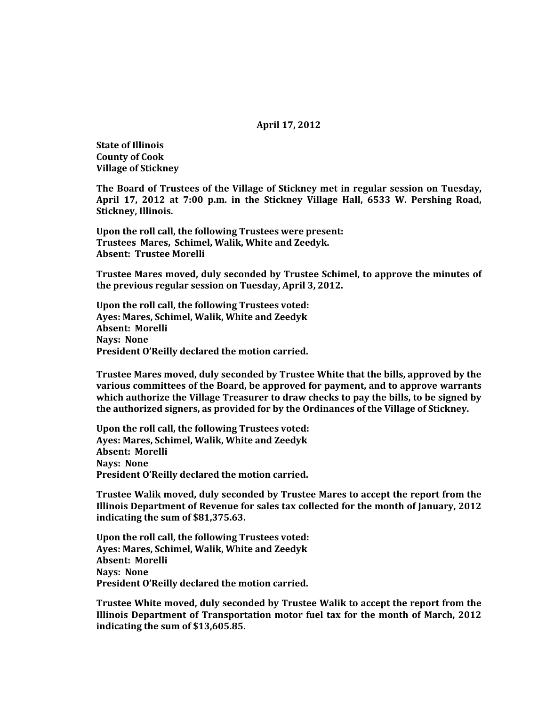### **April 17, 2012**

**State of Illinois County of Cook Village of Stickney**

**The Board of Trustees of the Village of Stickney met in regular session on Tuesday, April 17, 2012 at 7:00 p.m. in the Stickney Village Hall, 6533 W. Pershing Road, Stickney, Illinois.**

**Upon the roll call, the following Trustees were present: Trustees Mares, Schimel, Walik, White and Zeedyk. Absent: Trustee Morelli**

**Trustee Mares moved, duly seconded by Trustee Schimel, to approve the minutes of the previous regular session on Tuesday, April 3, 2012.**

**Upon the roll call, the following Trustees voted: Ayes: Mares, Schimel, Walik, White and Zeedyk Absent: Morelli Nays: None President O'Reilly declared the motion carried.**

**Trustee Mares moved, duly seconded by Trustee White that the bills, approved by the various committees of the Board, be approved for payment, and to approve warrants which authorize the Village Treasurer to draw checks to pay the bills, to be signed by the authorized signers, as provided for by the Ordinances of the Village of Stickney.**

**Upon the roll call, the following Trustees voted: Ayes: Mares, Schimel, Walik, White and Zeedyk Absent: Morelli Nays: None President O'Reilly declared the motion carried.**

**Trustee Walik moved, duly seconded by Trustee Mares to accept the report from the Illinois Department of Revenue for sales tax collected for the month of January, 2012 indicating the sum of \$81,375.63.**

**Upon the roll call, the following Trustees voted: Ayes: Mares, Schimel, Walik, White and Zeedyk Absent: Morelli Nays: None President O'Reilly declared the motion carried.**

**Trustee White moved, duly seconded by Trustee Walik to accept the report from the Illinois Department of Transportation motor fuel tax for the month of March, 2012 indicating the sum of \$13,605.85.**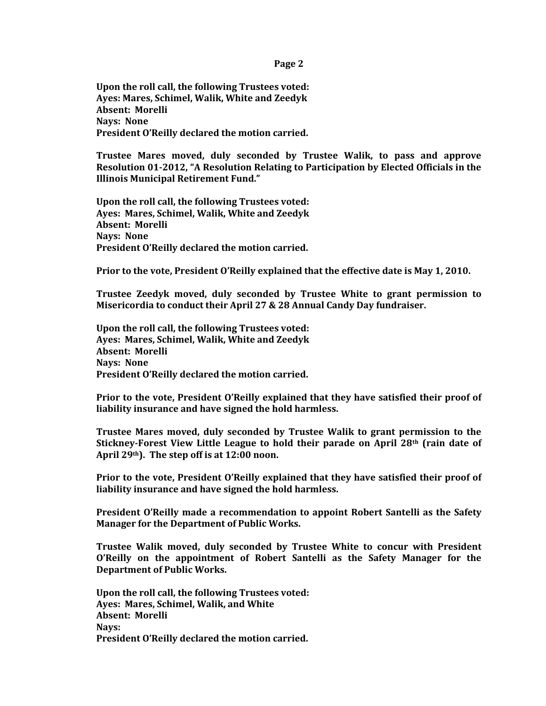**Page 2**

**Upon the roll call, the following Trustees voted: Ayes: Mares, Schimel, Walik, White and Zeedyk Absent: Morelli Nays: None President O'Reilly declared the motion carried.**

**Trustee Mares moved, duly seconded by Trustee Walik, to pass and approve Resolution 01-2012, "A Resolution Relating to Participation by Elected Officials in the Illinois Municipal Retirement Fund."** 

**Upon the roll call, the following Trustees voted: Ayes: Mares, Schimel, Walik, White and Zeedyk Absent: Morelli Nays: None President O'Reilly declared the motion carried.**

**Prior to the vote, President O'Reilly explained that the effective date is May 1, 2010.**

**Trustee Zeedyk moved, duly seconded by Trustee White to grant permission to Misericordia to conduct their April 27 & 28 Annual Candy Day fundraiser.** 

**Upon the roll call, the following Trustees voted: Ayes: Mares, Schimel, Walik, White and Zeedyk Absent: Morelli Nays: None President O'Reilly declared the motion carried.**

**Prior to the vote, President O'Reilly explained that they have satisfied their proof of liability insurance and have signed the hold harmless.**

**Trustee Mares moved, duly seconded by Trustee Walik to grant permission to the Stickney-Forest View Little League to hold their parade on April 28th (rain date of April 29th). The step off is at 12:00 noon.**

**Prior to the vote, President O'Reilly explained that they have satisfied their proof of liability insurance and have signed the hold harmless.**

**President O'Reilly made a recommendation to appoint Robert Santelli as the Safety Manager for the Department of Public Works.**

**Trustee Walik moved, duly seconded by Trustee White to concur with President O'Reilly on the appointment of Robert Santelli as the Safety Manager for the Department of Public Works.**

**Upon the roll call, the following Trustees voted: Ayes: Mares, Schimel, Walik, and White Absent: Morelli Nays: President O'Reilly declared the motion carried.**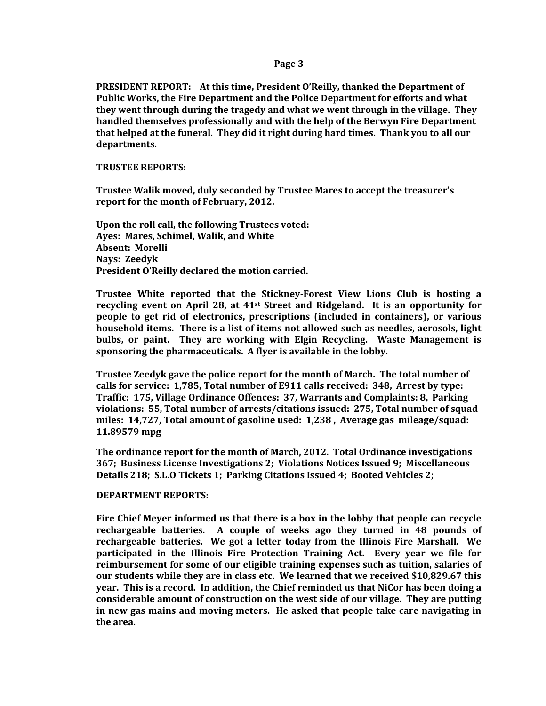# **Page 3**

**PRESIDENT REPORT: At this time, President O'Reilly, thanked the Department of Public Works, the Fire Department and the Police Department for efforts and what they went through during the tragedy and what we went through in the village. They handled themselves professionally and with the help of the Berwyn Fire Department that helped at the funeral. They did it right during hard times. Thank you to all our departments.** 

### **TRUSTEE REPORTS:**

**Trustee Walik moved, duly seconded by Trustee Mares to accept the treasurer's report for the month of February, 2012.**

**Upon the roll call, the following Trustees voted: Ayes: Mares, Schimel, Walik, and White Absent: Morelli Nays: Zeedyk President O'Reilly declared the motion carried.**

**Trustee White reported that the Stickney-Forest View Lions Club is hosting a recycling event on April 28, at 41st Street and Ridgeland. It is an opportunity for people to get rid of electronics, prescriptions (included in containers), or various household items. There is a list of items not allowed such as needles, aerosols, light bulbs, or paint. They are working with Elgin Recycling. Waste Management is sponsoring the pharmaceuticals. A flyer is available in the lobby.**

**Trustee Zeedyk gave the police report for the month of March. The total number of calls for service: 1,785, Total number of E911 calls received: 348, Arrest by type: Traffic: 175, Village Ordinance Offences: 37, Warrants and Complaints: 8, Parking violations: 55, Total number of arrests/citations issued: 275, Total number of squad miles: 14,727, Total amount of gasoline used: 1,238 , Average gas mileage/squad: 11.89579 mpg**

**The ordinance report for the month of March, 2012. Total Ordinance investigations 367; Business License Investigations 2; Violations Notices Issued 9; Miscellaneous Details 218; S.L.O Tickets 1; Parking Citations Issued 4; Booted Vehicles 2;**

# **DEPARTMENT REPORTS:**

**Fire Chief Meyer informed us that there is a box in the lobby that people can recycle rechargeable batteries. A couple of weeks ago they turned in 48 pounds of rechargeable batteries. We got a letter today from the Illinois Fire Marshall. We participated in the Illinois Fire Protection Training Act. Every year we file for reimbursement for some of our eligible training expenses such as tuition, salaries of our students while they are in class etc. We learned that we received \$10,829.67 this year. This is a record. In addition, the Chief reminded us that NiCor has been doing a considerable amount of construction on the west side of our village. They are putting in new gas mains and moving meters. He asked that people take care navigating in the area.**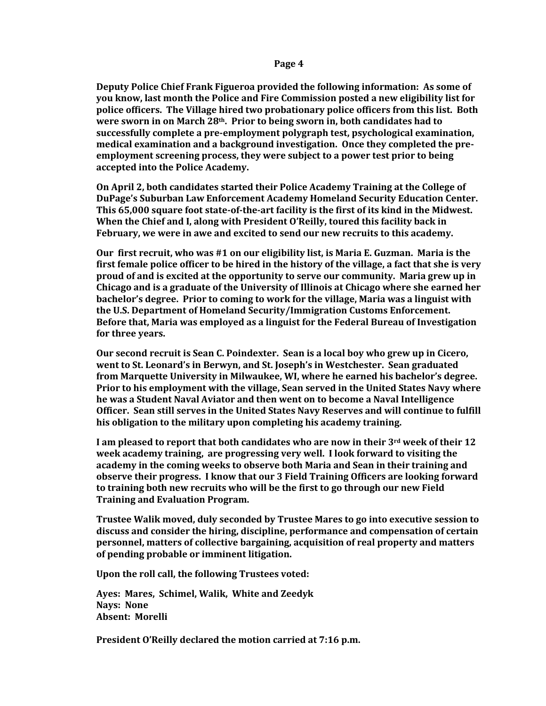**Deputy Police Chief Frank Figueroa provided the following information: As some of you know, last month the Police and Fire Commission posted a new eligibility list for police officers. The Village hired two probationary police officers from this list. Both were sworn in on March 28th. Prior to being sworn in, both candidates had to successfully complete a pre-employment polygraph test, psychological examination, medical examination and a background investigation. Once they completed the preemployment screening process, they were subject to a power test prior to being accepted into the Police Academy.**

**On April 2, both candidates started their Police Academy Training at the College of DuPage's Suburban Law Enforcement Academy Homeland Security Education Center. This 65,000 square foot state-of-the-art facility is the first of its kind in the Midwest. When the Chief and I, along with President O'Reilly, toured this facility back in February, we were in awe and excited to send our new recruits to this academy.**

**Our first recruit, who was #1 on our eligibility list, is Maria E. Guzman. Maria is the first female police officer to be hired in the history of the village, a fact that she is very proud of and is excited at the opportunity to serve our community. Maria grew up in Chicago and is a graduate of the University of Illinois at Chicago where she earned her bachelor's degree. Prior to coming to work for the village, Maria was a linguist with the U.S. Department of Homeland Security/Immigration Customs Enforcement. Before that, Maria was employed as a linguist for the Federal Bureau of Investigation for three years.**

**Our second recruit is Sean C. Poindexter. Sean is a local boy who grew up in Cicero, went to St. Leonard's in Berwyn, and St. Joseph's in Westchester. Sean graduated from Marquette University in Milwaukee, WI, where he earned his bachelor's degree. Prior to his employment with the village, Sean served in the United States Navy where he was a Student Naval Aviator and then went on to become a Naval Intelligence Officer. Sean still serves in the United States Navy Reserves and will continue to fulfill his obligation to the military upon completing his academy training.**

**I am pleased to report that both candidates who are now in their 3rd week of their 12 week academy training, are progressing very well. I look forward to visiting the academy in the coming weeks to observe both Maria and Sean in their training and observe their progress. I know that our 3 Field Training Officers are looking forward to training both new recruits who will be the first to go through our new Field Training and Evaluation Program.**

**Trustee Walik moved, duly seconded by Trustee Mares to go into executive session to discuss and consider the hiring, discipline, performance and compensation of certain personnel, matters of collective bargaining, acquisition of real property and matters of pending probable or imminent litigation.** 

**Upon the roll call, the following Trustees voted:**

**Ayes: Mares, Schimel, Walik, White and Zeedyk Nays: None Absent: Morelli**

**President O'Reilly declared the motion carried at 7:16 p.m.**